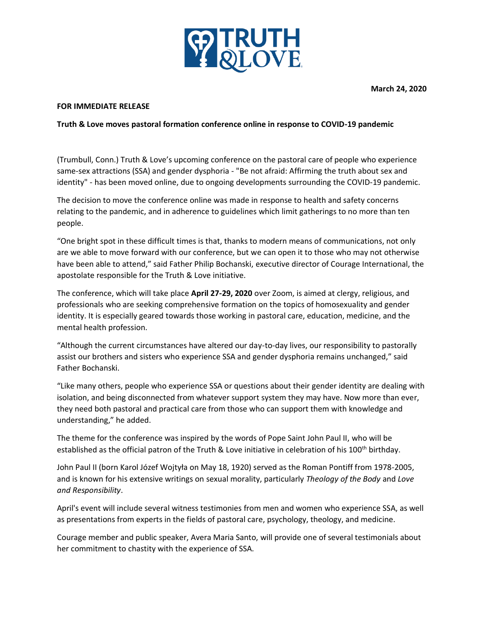

**March 24, 2020**

## **FOR IMMEDIATE RELEASE**

## **Truth & Love moves pastoral formation conference online in response to COVID-19 pandemic**

(Trumbull, Conn.) Truth & Love's upcoming conference on the pastoral care of people who experience same-sex attractions (SSA) and gender dysphoria - "Be not afraid: Affirming the truth about sex and identity" - has been moved online, due to ongoing developments surrounding the COVID-19 pandemic.

The decision to move the conference online was made in response to health and safety concerns relating to the pandemic, and in adherence to guidelines which limit gatherings to no more than ten people.

"One bright spot in these difficult times is that, thanks to modern means of communications, not only are we able to move forward with our conference, but we can open it to those who may not otherwise have been able to attend," said Father Philip Bochanski, executive director of Courage International, the apostolate responsible for the Truth & Love initiative.

The conference, which will take place **April 27-29, 2020** over Zoom, is aimed at clergy, religious, and professionals who are seeking comprehensive formation on the topics of homosexuality and gender identity. It is especially geared towards those working in pastoral care, education, medicine, and the mental health profession.

"Although the current circumstances have altered our day-to-day lives, our responsibility to pastorally assist our brothers and sisters who experience SSA and gender dysphoria remains unchanged," said Father Bochanski.

"Like many others, people who experience SSA or questions about their gender identity are dealing with isolation, and being disconnected from whatever support system they may have. Now more than ever, they need both pastoral and practical care from those who can support them with knowledge and understanding," he added.

The theme for the conference was inspired by the words of Pope Saint John Paul II, who will be established as the official patron of the Truth & Love initiative in celebration of his 100<sup>th</sup> birthday.

John Paul II (born Karol Józef Wojtyła on May 18, 1920) served as the Roman Pontiff from 1978-2005, and is known for his extensive writings on sexual morality, particularly *Theology of the Body* and *Love and Responsibility*.

April's event will include several witness testimonies from men and women who experience SSA, as well as presentations from experts in the fields of pastoral care, psychology, theology, and medicine.

Courage member and public speaker, Avera Maria Santo, will provide one of several testimonials about her commitment to chastity with the experience of SSA.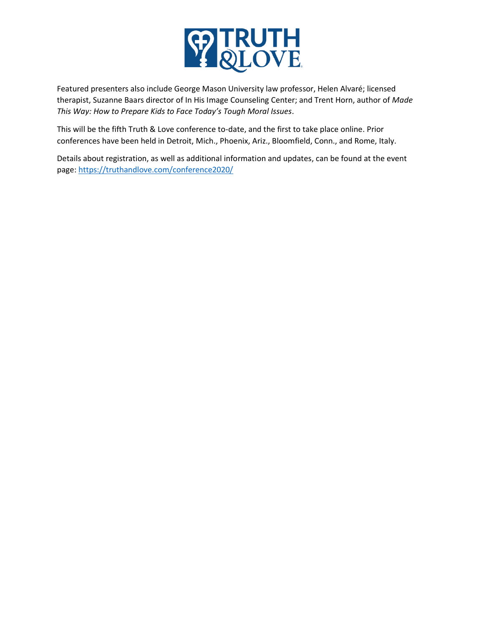

Featured presenters also include George Mason University law professor, Helen Alvaré; licensed therapist, Suzanne Baars director of In His Image Counseling Center; and Trent Horn, author of *Made This Way: How to Prepare Kids to Face Today's Tough Moral Issues*.

This will be the fifth Truth & Love conference to-date, and the first to take place online. Prior conferences have been held in Detroit, Mich., Phoenix, Ariz., Bloomfield, Conn., and Rome, Italy.

Details about registration, as well as additional information and updates, can be found at the event page:<https://truthandlove.com/conference2020/>